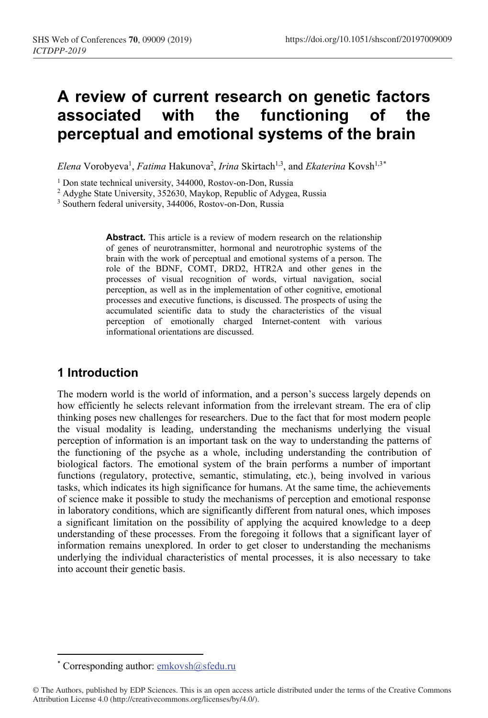# **A review of current research on genetic factors associated with the functioning of the perceptual and emotional systems of the brain**

Elena Vorobyeva<sup>1</sup>, *Fatima* Hakunova<sup>2</sup>, *Irina* Skirtach<sup>1,3</sup>, and *Ekaterina* Kovsh<sup>1,3\*</sup>

<sup>1</sup> Don state technical university, 344000, Rostov-on-Don, Russia

<sup>2</sup> Adyghe State University, 352630, Maykop, Republic of Adygea, Russia

<sup>3</sup> Southern federal university, 344006, Rostov-on-Don, Russia

Abstract. This article is a review of modern research on the relationship of genes of neurotransmitter, hormonal and neurotrophic systems of the brain with the work of perceptual and emotional systems of a person. The role of the BDNF, COMT, DRD2, HTR2A and other genes in the processes of visual recognition of words, virtual navigation, social perception, as well as in the implementation of other cognitive, emotional processes and executive functions, is discussed. The prospects of using the accumulated scientific data to study the characteristics of the visual perception of emotionally charged Internet-content with various informational orientations are discussed.

## **1 Introduction**

The modern world is the world of information, and a person's success largely depends on how efficiently he selects relevant information from the irrelevant stream. The era of clip thinking poses new challenges for researchers. Due to the fact that for most modern people the visual modality is leading, understanding the mechanisms underlying the visual perception of information is an important task on the way to understanding the patterns of the functioning of the psyche as a whole, including understanding the contribution of biological factors. The emotional system of the brain performs a number of important functions (regulatory, protective, semantic, stimulating, etc.), being involved in various tasks, which indicates its high significance for humans. At the same time, the achievements of science make it possible to study the mechanisms of perception and emotional response in laboratory conditions, which are significantly different from natural ones, which imposes a significant limitation on the possibility of applying the acquired knowledge to a deep understanding of these processes. From the foregoing it follows that a significant layer of information remains unexplored. In order to get closer to understanding the mechanisms underlying the individual characteristics of mental processes, it is also necessary to take into account their genetic basis.

<sup>\*</sup> Corresponding author:  $emkovsh@sfedu.ru$ 

<sup>©</sup> The Authors, published by EDP Sciences. This is an open access article distributed under the terms of the Creative Commons Attribution License 4.0 (http://creativecommons.org/licenses/by/4.0/).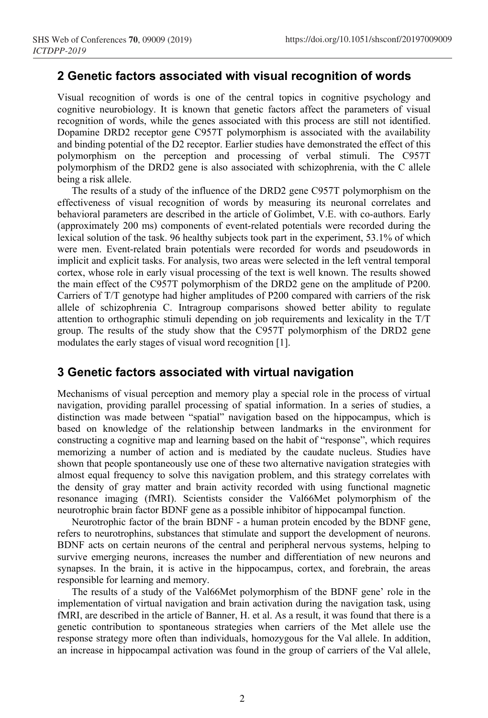## **2 Genetic factors associated with visual recognition of words**

Visual recognition of words is one of the central topics in cognitive psychology and cognitive neurobiology. It is known that genetic factors affect the parameters of visual recognition of words, while the genes associated with this process are still not identified. Dopamine DRD2 receptor gene C957T polymorphism is associated with the availability and binding potential of the D2 receptor. Earlier studies have demonstrated the effect of this polymorphism on the perception and processing of verbal stimuli. The C957T polymorphism of the DRD2 gene is also associated with schizophrenia, with the C allele being a risk allele.

The results of a study of the influence of the DRD2 gene C957T polymorphism on the effectiveness of visual recognition of words by measuring its neuronal correlates and behavioral parameters are described in the article of Golimbet, V.E. with co-authors. Early (approximately 200 ms) components of event-related potentials were recorded during the lexical solution of the task. 96 healthy subjects took part in the experiment, 53.1% of which were men. Event-related brain potentials were recorded for words and pseudowords in implicit and explicit tasks. For analysis, two areas were selected in the left ventral temporal cortex, whose role in early visual processing of the text is well known. The results showed the main effect of the C957T polymorphism of the DRD2 gene on the amplitude of P200. Carriers of T/T genotype had higher amplitudes of P200 compared with carriers of the risk allele of schizophrenia C. Intragroup comparisons showed better ability to regulate attention to orthographic stimuli depending on job requirements and lexicality in the T/T group. The results of the study show that the C957T polymorphism of the DRD2 gene modulates the early stages of visual word recognition [1].

### **3 Genetic factors associated with virtual navigation**

Mechanisms of visual perception and memory play a special role in the process of virtual navigation, providing parallel processing of spatial information. In a series of studies, a distinction was made between "spatial" navigation based on the hippocampus, which is based on knowledge of the relationship between landmarks in the environment for constructing a cognitive map and learning based on the habit of "response", which requires memorizing a number of action and is mediated by the caudate nucleus. Studies have shown that people spontaneously use one of these two alternative navigation strategies with almost equal frequency to solve this navigation problem, and this strategy correlates with the density of gray matter and brain activity recorded with using functional magnetic resonance imaging (fMRI). Scientists consider the Val66Met polymorphism of the neurotrophic brain factor BDNF gene as a possible inhibitor of hippocampal function.

Neurotrophic factor of the brain BDNF - a human protein encoded by the BDNF gene, refers to neurotrophins, substances that stimulate and support the development of neurons. BDNF acts on certain neurons of the central and peripheral nervous systems, helping to survive emerging neurons, increases the number and differentiation of new neurons and synapses. In the brain, it is active in the hippocampus, cortex, and forebrain, the areas responsible for learning and memory.

The results of a study of the Val66Met polymorphism of the BDNF gene' role in the implementation of virtual navigation and brain activation during the navigation task, using fMRI, are described in the article of Banner, H. et al. As a result, it was found that there is a genetic contribution to spontaneous strategies when carriers of the Met allele use the response strategy more often than individuals, homozygous for the Val allele. In addition, an increase in hippocampal activation was found in the group of carriers of the Val allele,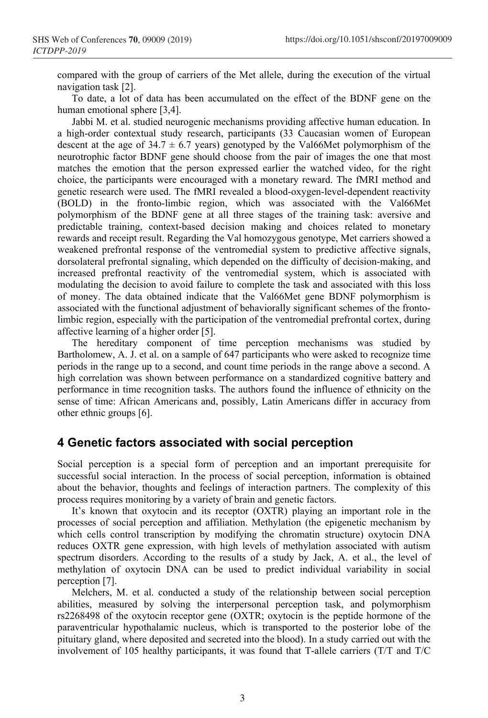compared with the group of carriers of the Met allele, during the execution of the virtual navigation task [2].

To date, a lot of data has been accumulated on the effect of the BDNF gene on the human emotional sphere [3,4].

Jabbi M. et al. studied neurogenic mechanisms providing affective human education. In a high-order contextual study research, participants (33 Caucasian women of European descent at the age of  $34.7 \pm 6.7$  years) genotyped by the Val66Met polymorphism of the neurotrophic factor BDNF gene should choose from the pair of images the one that most matches the emotion that the person expressed earlier the watched video, for the right choice, the participants were encouraged with a monetary reward. The fMRI method and genetic research were used. The fMRI revealed a blood-oxygen-level-dependent reactivity (BOLD) in the fronto-limbic region, which was associated with the Val66Met polymorphism of the BDNF gene at all three stages of the training task: aversive and predictable training, context-based decision making and choices related to monetary rewards and receipt result. Regarding the Val homozygous genotype, Met carriers showed a weakened prefrontal response of the ventromedial system to predictive affective signals, dorsolateral prefrontal signaling, which depended on the difficulty of decision-making, and increased prefrontal reactivity of the ventromedial system, which is associated with modulating the decision to avoid failure to complete the task and associated with this loss of money. The data obtained indicate that the Val66Met gene BDNF polymorphism is associated with the functional adjustment of behaviorally significant schemes of the frontolimbic region, especially with the participation of the ventromedial prefrontal cortex, during affective learning of a higher order [5].

The hereditary component of time perception mechanisms was studied by Bartholomew, A. J. et al. on a sample of 647 participants who were asked to recognize time periods in the range up to a second, and count time periods in the range above a second. A high correlation was shown between performance on a standardized cognitive battery and performance in time recognition tasks. The authors found the influence of ethnicity on the sense of time: African Americans and, possibly, Latin Americans differ in accuracy from other ethnic groups [6].

#### **4 Genetic factors associated with social perception**

Social perception is a special form of perception and an important prerequisite for successful social interaction. In the process of social perception, information is obtained about the behavior, thoughts and feelings of interaction partners. The complexity of this process requires monitoring by a variety of brain and genetic factors.

It's known that oxytocin and its receptor (OXTR) playing an important role in the processes of social perception and affiliation. Methylation (the epigenetic mechanism by which cells control transcription by modifying the chromatin structure) oxytocin DNA reduces OXTR gene expression, with high levels of methylation associated with autism spectrum disorders. According to the results of a study by Jack, A. et al., the level of methylation of oxytocin DNA can be used to predict individual variability in social perception [7].

Melchers, M. et al. conducted a study of the relationship between social perception abilities, measured by solving the interpersonal perception task, and polymorphism rs2268498 of the oxytocin receptor gene (OXTR; oxytocin is the peptide hormone of the paraventricular hypothalamic nucleus, which is transported to the posterior lobe of the pituitary gland, where deposited and secreted into the blood). In a study carried out with the involvement of 105 healthy participants, it was found that T-allele carriers (T/T and T/C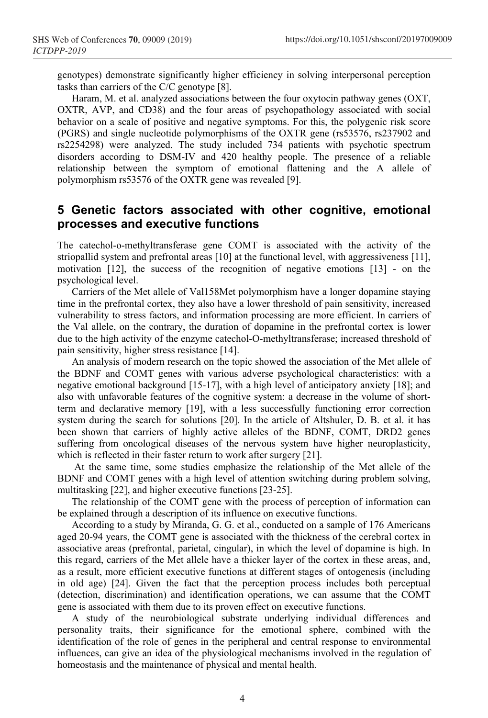genotypes) demonstrate significantly higher efficiency in solving interpersonal perception tasks than carriers of the C/C genotype [8].

Haram, M. et al. analyzed associations between the four oxytocin pathway genes (OXT, OXTR, AVP, and CD38) and the four areas of psychopathology associated with social behavior on a scale of positive and negative symptoms. For this, the polygenic risk score (PGRS) and single nucleotide polymorphisms of the OXTR gene (rs53576, rs237902 and rs2254298) were analyzed. The study included 734 patients with psychotic spectrum disorders according to DSM-IV and 420 healthy people. The presence of a reliable relationship between the symptom of emotional flattening and the A allele of polymorphism rs53576 of the OXTR gene was revealed [9].

## **5 Genetic factors associated with other cognitive, emotional processes and executive functions**

The catechol-o-methyltransferase gene COMT is associated with the activity of the striopallid system and prefrontal areas [10] at the functional level, with aggressiveness [11], motivation [12], the success of the recognition of negative emotions [13] - on the psychological level.

Carriers of the Met allele of Val158Met polymorphism have a longer dopamine staying time in the prefrontal cortex, they also have a lower threshold of pain sensitivity, increased vulnerability to stress factors, and information processing are more efficient. In carriers of the Val allele, on the contrary, the duration of dopamine in the prefrontal cortex is lower due to the high activity of the enzyme catechol-O-methyltransferase; increased threshold of pain sensitivity, higher stress resistance [14].

An analysis of modern research on the topic showed the association of the Met allele of the BDNF and COMT genes with various adverse psychological characteristics: with a negative emotional background [15-17], with a high level of anticipatory anxiety [18]; and also with unfavorable features of the cognitive system: a decrease in the volume of shortterm and declarative memory [19], with a less successfully functioning error correction system during the search for solutions [20]. In the article of Altshuler, D. B. et al. it has been shown that carriers of highly active alleles of the BDNF, COMT, DRD2 genes suffering from oncological diseases of the nervous system have higher neuroplasticity, which is reflected in their faster return to work after surgery [21].

At the same time, some studies emphasize the relationship of the Met allele of the BDNF and COMT genes with a high level of attention switching during problem solving, multitasking [22], and higher executive functions [23-25].

The relationship of the COMT gene with the process of perception of information can be explained through a description of its influence on executive functions.

According to a study by Miranda, G. G. et al., conducted on a sample of 176 Americans aged 20-94 years, the COMT gene is associated with the thickness of the cerebral cortex in associative areas (prefrontal, parietal, cingular), in which the level of dopamine is high. In this regard, carriers of the Met allele have a thicker layer of the cortex in these areas, and, as a result, more efficient executive functions at different stages of ontogenesis (including in old age) [24]. Given the fact that the perception process includes both perceptual (detection, discrimination) and identification operations, we can assume that the COMT gene is associated with them due to its proven effect on executive functions.

A study of the neurobiological substrate underlying individual differences and personality traits, their significance for the emotional sphere, combined with the identification of the role of genes in the peripheral and central response to environmental influences, can give an idea of the physiological mechanisms involved in the regulation of homeostasis and the maintenance of physical and mental health.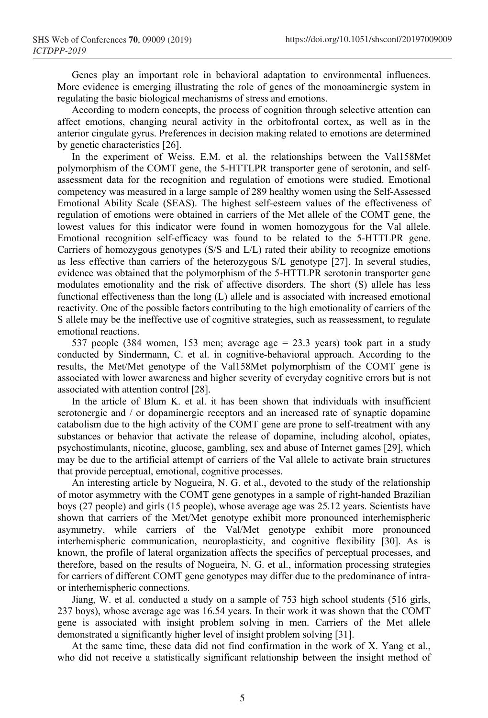Genes play an important role in behavioral adaptation to environmental influences. More evidence is emerging illustrating the role of genes of the monoaminergic system in regulating the basic biological mechanisms of stress and emotions.

According to modern concepts, the process of cognition through selective attention can affect emotions, changing neural activity in the orbitofrontal cortex, as well as in the anterior cingulate gyrus. Preferences in decision making related to emotions are determined by genetic characteristics [26].

In the experiment of Weiss, E.M. et al. the relationships between the Val158Met polymorphism of the COMT gene, the 5-HTTLPR transporter gene of serotonin, and selfassessment data for the recognition and regulation of emotions were studied. Emotional competency was measured in a large sample of 289 healthy women using the Self-Assessed Emotional Ability Scale (SEAS). The highest self-esteem values of the effectiveness of regulation of emotions were obtained in carriers of the Met allele of the COMT gene, the lowest values for this indicator were found in women homozygous for the Val allele. Emotional recognition self-efficacy was found to be related to the 5-HTTLPR gene. Carriers of homozygous genotypes (S/S and L/L) rated their ability to recognize emotions as less effective than carriers of the heterozygous S/L genotype [27]. In several studies, evidence was obtained that the polymorphism of the 5-HTTLPR serotonin transporter gene modulates emotionality and the risk of affective disorders. The short (S) allele has less functional effectiveness than the long (L) allele and is associated with increased emotional reactivity. One of the possible factors contributing to the high emotionality of carriers of the S allele may be the ineffective use of cognitive strategies, such as reassessment, to regulate emotional reactions.

537 people (384 women, 153 men; average age = 23.3 years) took part in a study conducted by Sindermann, C. et al. in cognitive-behavioral approach. According to the results, the Met/Met genotype of the Val158Met polymorphism of the COMT gene is associated with lower awareness and higher severity of everyday cognitive errors but is not associated with attention control [28].

In the article of Blum K. et al. it has been shown that individuals with insufficient serotonergic and / or dopaminergic receptors and an increased rate of synaptic dopamine catabolism due to the high activity of the COMT gene are prone to self-treatment with any substances or behavior that activate the release of dopamine, including alcohol, opiates, psychostimulants, nicotine, glucose, gambling, sex and abuse of Internet games [29], which may be due to the artificial attempt of carriers of the Val allele to activate brain structures that provide perceptual, emotional, cognitive processes.

An interesting article by Nogueira, N. G. et al., devoted to the study of the relationship of motor asymmetry with the COMT gene genotypes in a sample of right-handed Brazilian boys (27 people) and girls (15 people), whose average age was 25.12 years. Scientists have shown that carriers of the Met/Met genotype exhibit more pronounced interhemispheric asymmetry, while carriers of the Val/Met genotype exhibit more pronounced interhemispheric communication, neuroplasticity, and cognitive flexibility [30]. As is known, the profile of lateral organization affects the specifics of perceptual processes, and therefore, based on the results of Nogueira, N. G. et al., information processing strategies for carriers of different COMT gene genotypes may differ due to the predominance of intraor interhemispheric connections.

Jiang, W. et al. conducted a study on a sample of 753 high school students (516 girls, 237 boys), whose average age was 16.54 years. In their work it was shown that the COMT gene is associated with insight problem solving in men. Carriers of the Met allele demonstrated a significantly higher level of insight problem solving [31].

At the same time, these data did not find confirmation in the work of X. Yang et al., who did not receive a statistically significant relationship between the insight method of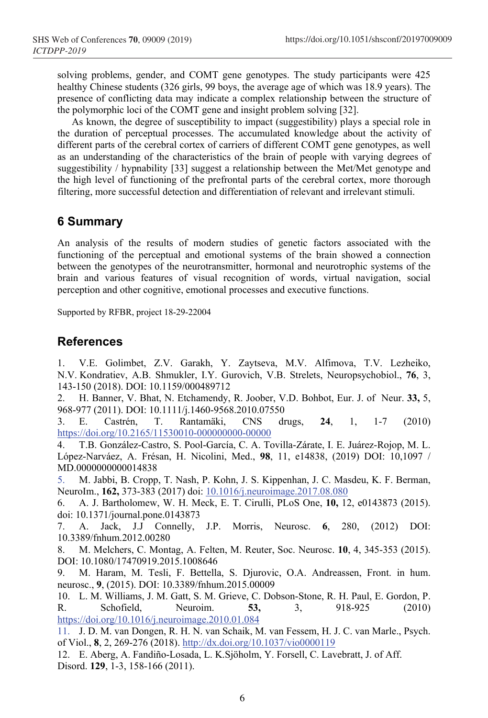solving problems, gender, and COMT gene genotypes. The study participants were 425 healthy Chinese students (326 girls, 99 boys, the average age of which was 18.9 years). The presence of conflicting data may indicate a complex relationship between the structure of the polymorphic loci of the COMT gene and insight problem solving [32].

As known, the degree of susceptibility to impact (suggestibility) plays a special role in the duration of perceptual processes. The accumulated knowledge about the activity of different parts of the cerebral cortex of carriers of different COMT gene genotypes, as well as an understanding of the characteristics of the brain of people with varying degrees of suggestibility / hypnability [33] suggest a relationship between the Met/Met genotype and the high level of functioning of the prefrontal parts of the cerebral cortex, more thorough filtering, more successful detection and differentiation of relevant and irrelevant stimuli.

## **6 Summary**

An analysis of the results of modern studies of genetic factors associated with the functioning of the perceptual and emotional systems of the brain showed a connection between the genotypes of the neurotransmitter, hormonal and neurotrophic systems of the brain and various features of visual recognition of words, virtual navigation, social perception and other cognitive, emotional processes and executive functions.

Supported by RFBR, project 18-29-22004

#### **References**

1. V.E. [Golimbet,](http://apps.webofknowledge.com/DaisyOneClickSearch.do?product=WOS&search_mode=DaisyOneClickSearch&colName=WOS&SID=C5dvps9rjLGGSuX6JDY&author_name=Golimbet,%20VE&dais_id=231939&excludeEventConfig=ExcludeIfFromFullRecPage) Z.V. [Garakh,](http://apps.webofknowledge.com/DaisyOneClickSearch.do?product=WOS&search_mode=DaisyOneClickSearch&colName=WOS&SID=C5dvps9rjLGGSuX6JDY&author_name=Garakh,%20ZV&dais_id=3199327&excludeEventConfig=ExcludeIfFromFullRecPage) Y. [Zaytseva,](http://apps.webofknowledge.com/DaisyOneClickSearch.do?product=WOS&search_mode=DaisyOneClickSearch&colName=WOS&SID=C5dvps9rjLGGSuX6JDY&author_name=Zaytseva,%20Y&dais_id=977538&excludeEventConfig=ExcludeIfFromFullRecPage) M.V. [Alfimova,](http://apps.webofknowledge.com/DaisyOneClickSearch.do?product=WOS&search_mode=DaisyOneClickSearch&colName=WOS&SID=C5dvps9rjLGGSuX6JDY&author_name=Alfimova,%20MV&dais_id=387244&excludeEventConfig=ExcludeIfFromFullRecPage) T.V. [Lezheiko,](http://apps.webofknowledge.com/DaisyOneClickSearch.do?product=WOS&search_mode=DaisyOneClickSearch&colName=WOS&SID=C5dvps9rjLGGSuX6JDY&author_name=Lezheiko,%20TV&dais_id=1194864&excludeEventConfig=ExcludeIfFromFullRecPage) N.V. [Kondratiev,](http://apps.webofknowledge.com/DaisyOneClickSearch.do?product=WOS&search_mode=DaisyOneClickSearch&colName=WOS&SID=C5dvps9rjLGGSuX6JDY&author_name=Kondratiev,%20NV&dais_id=14513592&excludeEventConfig=ExcludeIfFromFullRecPage) A.B. [Shmukler,](http://apps.webofknowledge.com/DaisyOneClickSearch.do?product=WOS&search_mode=DaisyOneClickSearch&colName=WOS&SID=C5dvps9rjLGGSuX6JDY&author_name=Shmukler,%20AB&dais_id=2784817&excludeEventConfig=ExcludeIfFromFullRecPage) I.Y. [Gurovich,](http://apps.webofknowledge.com/DaisyOneClickSearch.do?product=WOS&search_mode=DaisyOneClickSearch&colName=WOS&SID=C5dvps9rjLGGSuX6JDY&author_name=Gurovich,%20IY&dais_id=639509&excludeEventConfig=ExcludeIfFromFullRecPage) V.B. [Strelets,](http://apps.webofknowledge.com/DaisyOneClickSearch.do?product=WOS&search_mode=DaisyOneClickSearch&colName=WOS&SID=C5dvps9rjLGGSuX6JDY&author_name=Strelets,%20VB&dais_id=518384&excludeEventConfig=ExcludeIfFromFullRecPage) Neuropsychobiol., **76**, 3, 143-150 (2018). DOI: 10.1159/000489712

2. H. [Banner, V](https://www.scopus.com/authid/detail.uri?origin=resultslist&authorId=37060436200&zone=). [Bhat, N](https://www.scopus.com/authid/detail.uri?origin=resultslist&authorId=57195655836&zone=). [Etchamendy, R](https://www.scopus.com/authid/detail.uri?origin=resultslist&authorId=6506252350&zone=). [Joober, V](https://www.scopus.com/authid/detail.uri?origin=resultslist&authorId=7003301677&zone=).D. [Bohbot, E](https://www.scopus.com/authid/detail.uri?origin=resultslist&authorId=57203774651&zone=)ur. J. [of Neur.](https://www.scopus.com/sourceid/15550?origin=resultslist) **33,** 5, 968-977 (2011). DOI: 10.1111/j.1460-9568.2010.07550

3. E. Castrén, T. Rantamäki, CNS drugs, **24**, 1, 1-7 (2010) <https://doi.org/10.2165/11530010-000000000-00000>

4. T.B. González-Castro, S. Pool-García, C. A. Tovilla-Zárate, I. E. Juárez-Rojop, M. L. López-Narváez, A. Frésan, H. Nicolini, Med., **98**, 11, e14838, (2019) DOI: [10,1097 /](https://translate.googleusercontent.com/translate_c?depth=1&rurl=translate.google.com&sl=en&sp=nmt4&tl=ru&u=https://doi.org/10.1097/MD.0000000000014838&xid=25657,15700002,15700021,15700186,15700190,15700253,15700255,15700259&usg=ALkJrhhn_vzimIZX4wbag_zEO8U2RJhv7w)  [MD.0000000000014838](https://translate.googleusercontent.com/translate_c?depth=1&rurl=translate.google.com&sl=en&sp=nmt4&tl=ru&u=https://doi.org/10.1097/MD.0000000000014838&xid=25657,15700002,15700021,15700186,15700190,15700253,15700255,15700259&usg=ALkJrhhn_vzimIZX4wbag_zEO8U2RJhv7w)

5. M. Jabbi, B. Cropp, T. Nash, P. Kohn, J. S. Kippenhan, J. C. Masdeu, K. F. Berman, NeuroIm., **162,** 373-383 (2017) doi: [10.1016/j.neuroimage.2017.08.080](https://dx.doi.org/10.1016%2Fj.neuroimage.2017.08.080)

6. A. J. Bartholomew, W. H. Meck, E. T. Cirulli, PLoS One, **10,** 12, e0143873 (2015). doi: [10.1371/journal.pone.0143873](https://dx.doi.org/10.1371%2Fjournal.pone.0143873)

7. A. [Jack, J](http://apps.webofknowledge.com/DaisyOneClickSearch.do?product=WOS&search_mode=DaisyOneClickSearch&colName=WOS&SID=C5dvps9rjLGGSuX6JDY&author_name=Jack,%20Allison&dais_id=2223022&excludeEventConfig=ExcludeIfFromFullRecPage).J [Connelly,](http://apps.webofknowledge.com/DaisyOneClickSearch.do?product=WOS&search_mode=DaisyOneClickSearch&colName=WOS&SID=C5dvps9rjLGGSuX6JDY&author_name=Connelly,%20Jessica%20J.&dais_id=956274&excludeEventConfig=ExcludeIfFromFullRecPage) J.P. [Morris,](http://apps.webofknowledge.com/DaisyOneClickSearch.do?product=WOS&search_mode=DaisyOneClickSearch&colName=WOS&SID=C5dvps9rjLGGSuX6JDY&author_name=Morris,%20James%20P.&dais_id=4479019&excludeEventConfig=ExcludeIfFromFullRecPage) Neurosc. **6**, 280, [\(2012\) DOI:](http://apps.webofknowledge.com/full_record.do?product=WOS&search_mode=GeneralSearch&qid=8&SID=C5dvps9rjLGGSuX6JDY&page=5&doc=49&cacheurlFromRightClick=no)  [10.3389/fnhum.2012.00280](http://apps.webofknowledge.com/full_record.do?product=WOS&search_mode=GeneralSearch&qid=8&SID=C5dvps9rjLGGSuX6JDY&page=5&doc=49&cacheurlFromRightClick=no) 

8. M. [Melchers,](http://apps.webofknowledge.com/DaisyOneClickSearch.do?product=WOS&search_mode=DaisyOneClickSearch&colName=WOS&SID=C5dvps9rjLGGSuX6JDY&author_name=Melchers,%20M&dais_id=1766807&excludeEventConfig=ExcludeIfFromFullRecPage&cacheurlFromRightClick=no) C. [Montag,](http://apps.webofknowledge.com/DaisyOneClickSearch.do?product=WOS&search_mode=DaisyOneClickSearch&colName=WOS&SID=C5dvps9rjLGGSuX6JDY&author_name=Montag,%20C&dais_id=120753&excludeEventConfig=ExcludeIfFromFullRecPage) A. [Felten,](http://apps.webofknowledge.com/DaisyOneClickSearch.do?product=WOS&search_mode=DaisyOneClickSearch&colName=WOS&SID=C5dvps9rjLGGSuX6JDY&author_name=Felten,%20A&dais_id=1559490&excludeEventConfig=ExcludeIfFromFullRecPage) M. [Reuter,](http://apps.webofknowledge.com/DaisyOneClickSearch.do?product=WOS&search_mode=DaisyOneClickSearch&colName=WOS&SID=C5dvps9rjLGGSuX6JDY&author_name=Reuter,%20M&dais_id=13048&excludeEventConfig=ExcludeIfFromFullRecPage) Soc. Neurosc. **10**, 4, 345-353 (2015). DOI: 10.1080/17470919.2015.1008646

9. M. [Haram,](http://apps.webofknowledge.com/DaisyOneClickSearch.do?product=WOS&search_mode=DaisyOneClickSearch&colName=WOS&SID=C5dvps9rjLGGSuX6JDY&author_name=Haram,%20M&dais_id=3223922&excludeEventConfig=ExcludeIfFromFullRecPage) M. [Tesli,](http://apps.webofknowledge.com/DaisyOneClickSearch.do?product=WOS&search_mode=DaisyOneClickSearch&colName=WOS&SID=C5dvps9rjLGGSuX6JDY&author_name=Tesli,%20M&dais_id=1090153&excludeEventConfig=ExcludeIfFromFullRecPage) F. [Bettella,](http://apps.webofknowledge.com/DaisyOneClickSearch.do?product=WOS&search_mode=DaisyOneClickSearch&colName=WOS&SID=C5dvps9rjLGGSuX6JDY&author_name=Bettella,%20F&dais_id=736623&excludeEventConfig=ExcludeIfFromFullRecPage) S. [Djurovic,](http://apps.webofknowledge.com/DaisyOneClickSearch.do?product=WOS&search_mode=DaisyOneClickSearch&colName=WOS&SID=C5dvps9rjLGGSuX6JDY&author_name=Djurovic,%20S&dais_id=97396&excludeEventConfig=ExcludeIfFromFullRecPage) O.A. [Andreassen,](http://apps.webofknowledge.com/DaisyOneClickSearch.do?product=WOS&search_mode=DaisyOneClickSearch&colName=WOS&SID=C5dvps9rjLGGSuX6JDY&author_name=Andreassen,%20OA&dais_id=7414&excludeEventConfig=ExcludeIfFromFullRecPage) Front. in hum. neurosc., **9**, (2015). DOI: 10.3389/fnhum.2015.00009

10. L. M. Williams, J. M. Gatt, S. M. Grieve, C. Dobson-Stone, R. H. Paul, E. Gordon, P. R. Schofield, Neuroim. **53,** 3, 918-925 (2010) <https://doi.org/10.1016/j.neuroimage.2010.01.084>

11. J. D. M. van Dongen, R. H. N. van Schaik, M. van Fessem, H. J. C. van Marle., Psych. of Viol., **8**, 2, 269-276 (2018). <http://dx.doi.org/10.1037/vio0000119>

12. E. Aberg, A. Fandiño-Losada, L. K.Sjöholm, Y. Forsell, C. Lavebratt, J. of Aff. Disord. **129**, 1-3, 158-166 (2011).